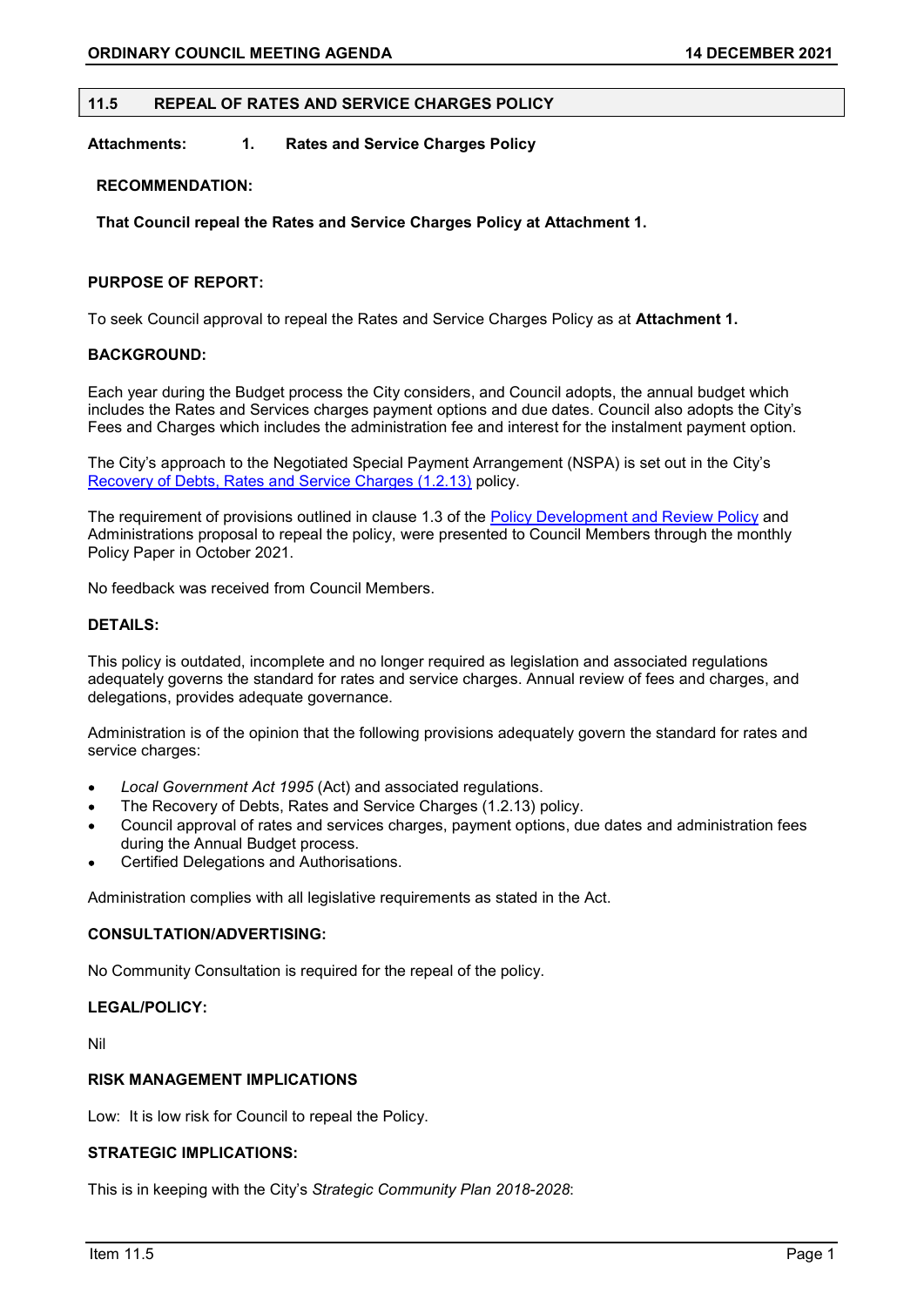## 11.5 REPEAL OF RATES AND SERVICE CHARGES POLICY

# Attachments: 1. Rates and Service Charges Policy

## RECOMMENDATION:

That Council repeal the Rates and Service Charges Policy at Attachment 1.

# PURPOSE OF REPORT:

To seek Council approval to repeal the Rates and Service Charges Policy as at Attachment 1.

# BACKGROUND:

Each year during the Budget process the City considers, and Council adopts, the annual budget which includes the Rates and Services charges payment options and due dates. Council also adopts the City's Fees and Charges which includes the administration fee and interest for the instalment payment option.

The City's approach to the Negotiated Special Payment Arrangement (NSPA) is set out in the City's Recovery of Debts, Rates and Service Charges (1.2.13) policy.

The requirement of provisions outlined in clause 1.3 of the Policy Development and Review Policy and Administrations proposal to repeal the policy, were presented to Council Members through the monthly Policy Paper in October 2021.

No feedback was received from Council Members.

# DETAILS:

This policy is outdated, incomplete and no longer required as legislation and associated regulations adequately governs the standard for rates and service charges. Annual review of fees and charges, and delegations, provides adequate governance.

Administration is of the opinion that the following provisions adequately govern the standard for rates and service charges:

- Local Government Act 1995 (Act) and associated regulations.
- The Recovery of Debts, Rates and Service Charges (1.2.13) policy.
- Council approval of rates and services charges, payment options, due dates and administration fees during the Annual Budget process.
- Certified Delegations and Authorisations.

Administration complies with all legislative requirements as stated in the Act.

# CONSULTATION/ADVERTISING:

No Community Consultation is required for the repeal of the policy.

## LEGAL/POLICY:

Nil

# RISK MANAGEMENT IMPLICATIONS

Low: It is low risk for Council to repeal the Policy.

# STRATEGIC IMPLICATIONS:

This is in keeping with the City's Strategic Community Plan 2018-2028: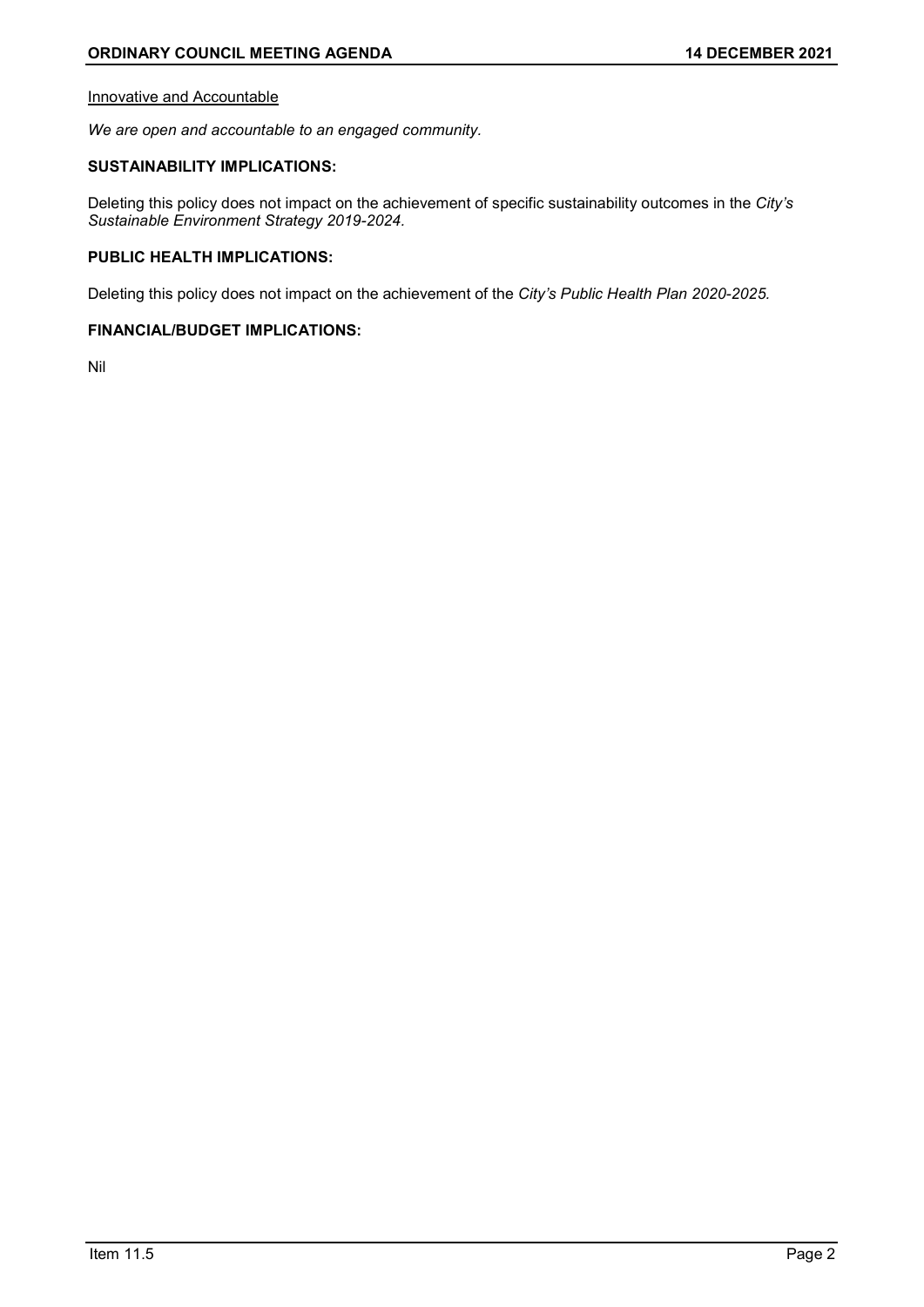## Innovative and Accountable

We are open and accountable to an engaged community.

# SUSTAINABILITY IMPLICATIONS:

Deleting this policy does not impact on the achievement of specific sustainability outcomes in the City's Sustainable Environment Strategy 2019-2024.

# PUBLIC HEALTH IMPLICATIONS:

Deleting this policy does not impact on the achievement of the City's Public Health Plan 2020-2025.

# FINANCIAL/BUDGET IMPLICATIONS:

Nil